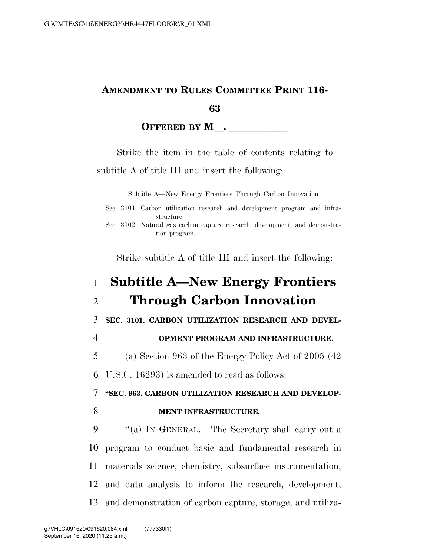## **AMENDMENT TO RULES COMMITTEE PRINT 116- 63**

## **OFFERED BY M**.

Strike the item in the table of contents relating to subtitle A of title III and insert the following:

Subtitle A—New Energy Frontiers Through Carbon Innovation

|  |            |  | Sec. 3101. Carbon utilization research and development program and infra- |  |  |
|--|------------|--|---------------------------------------------------------------------------|--|--|
|  | structure. |  |                                                                           |  |  |

Strike subtitle A of title III and insert the following:

## 1 **Subtitle A—New Energy Frontiers**  2 **Through Carbon Innovation**  3 **SEC. 3101. CARBON UTILIZATION RESEARCH AND DEVEL-**4 **OPMENT PROGRAM AND INFRASTRUCTURE.**  5 (a) Section 963 of the Energy Policy Act of 2005 (42 6 U.S.C. 16293) is amended to read as follows: 7 **''SEC. 963. CARBON UTILIZATION RESEARCH AND DEVELOP-**8 **MENT INFRASTRUCTURE.** 9 "(a) IN GENERAL.—The Secretary shall carry out a 10 program to conduct basic and fundamental research in 11 materials science, chemistry, subsurface instrumentation, 12 and data analysis to inform the research, development, 13 and demonstration of carbon capture, storage, and utiliza-

Sec. 3102. Natural gas carbon capture research, development, and demonstration program.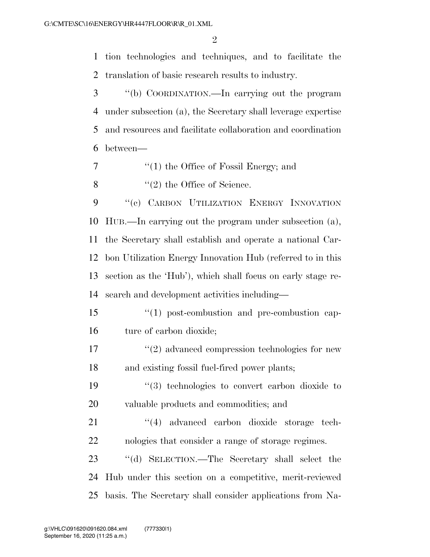$\mathfrak{D}$ 

 tion technologies and techniques, and to facilitate the translation of basic research results to industry.

 ''(b) COORDINATION.—In carrying out the program under subsection (a), the Secretary shall leverage expertise and resources and facilitate collaboration and coordination between—

- ''(1) the Office of Fossil Energy; and
- 8  $\frac{1}{2}$  the Office of Science.

9 "(c) CARBON UTILIZATION ENERGY INNOVATION HUB.—In carrying out the program under subsection (a), the Secretary shall establish and operate a national Car- bon Utilization Energy Innovation Hub (referred to in this section as the 'Hub'), which shall focus on early stage re-search and development activities including—

15  $\frac{15}{10}$  post-combustion and pre-combustion cap-ture of carbon dioxide;

17  $\frac{17}{2}$  advanced compression technologies for new and existing fossil fuel-fired power plants;

 ''(3) technologies to convert carbon dioxide to valuable products and commodities; and

21 ''(4) advanced carbon dioxide storage tech-nologies that consider a range of storage regimes.

 ''(d) SELECTION.—The Secretary shall select the Hub under this section on a competitive, merit-reviewed basis. The Secretary shall consider applications from Na-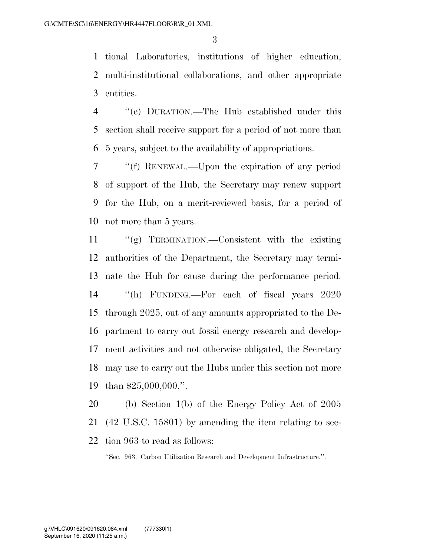tional Laboratories, institutions of higher education, multi-institutional collaborations, and other appropriate entities.

 ''(e) DURATION.—The Hub established under this section shall receive support for a period of not more than 5 years, subject to the availability of appropriations.

 ''(f) RENEWAL.—Upon the expiration of any period of support of the Hub, the Secretary may renew support for the Hub, on a merit-reviewed basis, for a period of not more than 5 years.

 ''(g) TERMINATION.—Consistent with the existing authorities of the Department, the Secretary may termi- nate the Hub for cause during the performance period. ''(h) FUNDING.—For each of fiscal years 2020 through 2025, out of any amounts appropriated to the De- partment to carry out fossil energy research and develop- ment activities and not otherwise obligated, the Secretary may use to carry out the Hubs under this section not more than \$25,000,000.''.

 (b) Section 1(b) of the Energy Policy Act of 2005 (42 U.S.C. 15801) by amending the item relating to sec-tion 963 to read as follows:

''Sec. 963. Carbon Utilization Research and Development Infrastructure.''.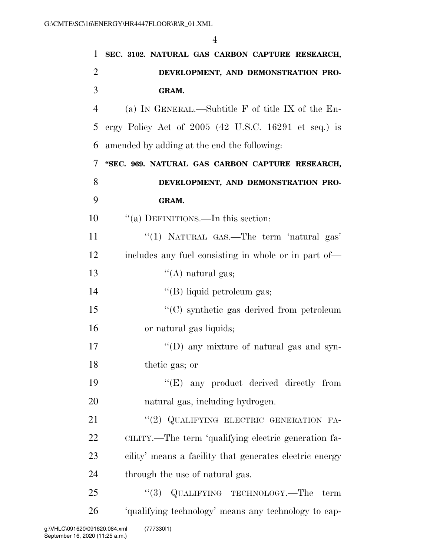| $\mathbf{1}$   | SEC. 3102. NATURAL GAS CARBON CAPTURE RESEARCH,         |
|----------------|---------------------------------------------------------|
| $\overline{2}$ | DEVELOPMENT, AND DEMONSTRATION PRO-                     |
| 3              | GRAM.                                                   |
| $\overline{4}$ | (a) IN GENERAL.—Subtitle F of title IX of the En-       |
| 5              | ergy Policy Act of $2005$ (42 U.S.C. 16291 et seq.) is  |
| 6              | amended by adding at the end the following:             |
| 7              | "SEC. 969. NATURAL GAS CARBON CAPTURE RESEARCH,         |
| 8              | DEVELOPMENT, AND DEMONSTRATION PRO-                     |
| 9              | GRAM.                                                   |
| 10             | "(a) DEFINITIONS.—In this section:                      |
| 11             | "(1) NATURAL GAS.—The term 'natural gas'                |
| 12             | includes any fuel consisting in whole or in part of—    |
| 13             | $\lq\lq$ natural gas;                                   |
| 14             | "(B) liquid petroleum gas;                              |
| 15             | $\cdot\cdot$ (C) synthetic gas derived from petroleum   |
| 16             | or natural gas liquids;                                 |
| 17             | $\lq\lq$ (D) any mixture of natural gas and syn-        |
| 18             | thetic gas; or                                          |
| 19             | "(E) any product derived directly from                  |
| 20             | natural gas, including hydrogen.                        |
| 21             | "(2) QUALIFYING ELECTRIC GENERATION FA-                 |
| 22             | CILITY.—The term 'qualifying electric generation fa-    |
| 23             | cility' means a facility that generates electric energy |
| 24             | through the use of natural gas.                         |
| 25             | "(3) QUALIFYING TECHNOLOGY.—The<br>term                 |
| 26             | 'qualifying technology' means any technology to cap-    |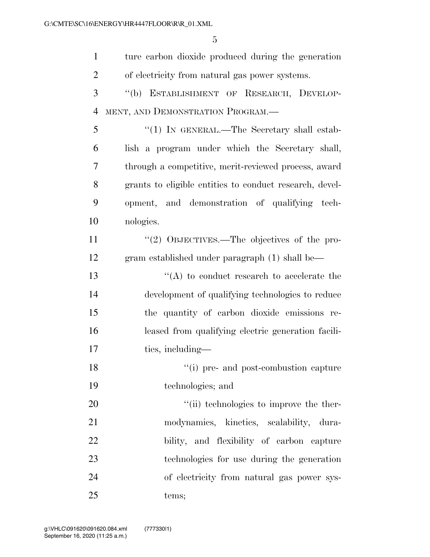| $\mathbf{1}$   | ture carbon dioxide produced during the generation      |
|----------------|---------------------------------------------------------|
| $\overline{2}$ | of electricity from natural gas power systems.          |
| 3              | "(b) ESTABLISHMENT OF RESEARCH, DEVELOP-                |
| $\overline{4}$ | MENT, AND DEMONSTRATION PROGRAM.                        |
| 5              | " $(1)$ IN GENERAL.—The Secretary shall estab-          |
| 6              | lish a program under which the Secretary shall,         |
| 7              | through a competitive, merit-reviewed process, award    |
| 8              | grants to eligible entities to conduct research, devel- |
| 9              | opment, and demonstration of qualifying tech-           |
| 10             | nologies.                                               |
| 11             | "(2) OBJECTIVES.—The objectives of the pro-             |
| 12             | gram established under paragraph (1) shall be—          |
| 13             | $\lq\lq$ to conduct research to accelerate the          |
| 14             | development of qualifying technologies to reduce        |
| 15             | the quantity of carbon dioxide emissions re-            |
| 16             | leased from qualifying electric generation facili-      |
| 17             | ties, including—                                        |
| 18             | "(i) pre- and post-combustion capture                   |
| 19             | technologies; and                                       |
| 20             | "(ii) technologies to improve the ther-                 |
| 21             | modynamics, kinetics, scalability, dura-                |
| 22             | bility, and flexibility of carbon capture               |
| 23             | technologies for use during the generation              |
| 24             | of electricity from natural gas power sys-              |
| 25             | tems;                                                   |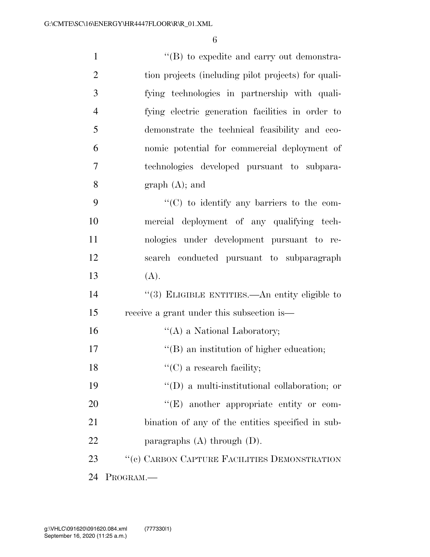| $\mathbf{1}$   | $\lq\lq (B)$ to expedite and carry out demonstra-    |
|----------------|------------------------------------------------------|
| $\overline{2}$ | tion projects (including pilot projects) for quali-  |
| 3              | fying technologies in partnership with quali-        |
| $\overline{4}$ | fying electric generation facilities in order to     |
| 5              | demonstrate the technical feasibility and eco-       |
| 6              | nomic potential for commercial deployment of         |
| 7              | technologies developed pursuant to subpara-          |
| 8              | graph (A); and                                       |
| 9              | $\lq\lq$ (C) to identify any barriers to the com-    |
| 10             | mercial deployment of any qualifying tech-           |
| 11             | nologies under development pursuant to re-           |
| 12             | search conducted pursuant to subparagraph            |
| 13             | (A).                                                 |
| 14             | "(3) ELIGIBLE ENTITIES.—An entity eligible to        |
| 15             | receive a grant under this subsection is—            |
| 16             | $\lq\lq$ (A) a National Laboratory;                  |
| 17             | "(B) an institution of higher education;             |
| 18             | $\lq\lq$ (C) a research facility;                    |
| 19             | $\lq\lq$ (D) a multi-institutional collaboration; or |
| 20             | "(E) another appropriate entity or com-              |
| 21             | bination of any of the entities specified in sub-    |
| 22             | paragraphs $(A)$ through $(D)$ .                     |
| 23             | "(c) CARBON CAPTURE FACILITIES DEMONSTRATION         |
| 24             | PROGRAM.                                             |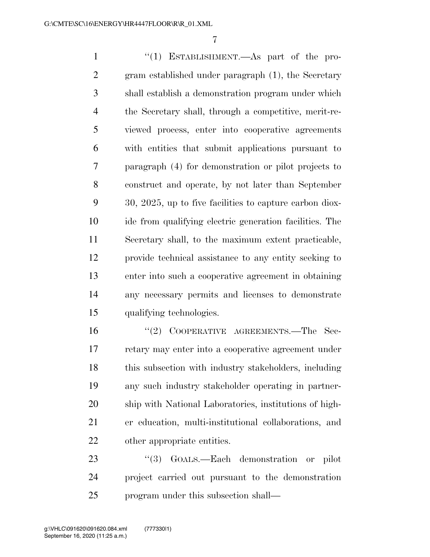1 ''(1) ESTABLISHMENT.—As part of the pro- gram established under paragraph (1), the Secretary shall establish a demonstration program under which the Secretary shall, through a competitive, merit-re- viewed process, enter into cooperative agreements with entities that submit applications pursuant to paragraph (4) for demonstration or pilot projects to construct and operate, by not later than September 30, 2025, up to five facilities to capture carbon diox- ide from qualifying electric generation facilities. The Secretary shall, to the maximum extent practicable, provide technical assistance to any entity seeking to enter into such a cooperative agreement in obtaining any necessary permits and licenses to demonstrate qualifying technologies.

16 "(2) COOPERATIVE AGREEMENTS.—The Sec- retary may enter into a cooperative agreement under this subsection with industry stakeholders, including any such industry stakeholder operating in partner- ship with National Laboratories, institutions of high- er education, multi-institutional collaborations, and other appropriate entities.

23 "(3) GOALS.—Each demonstration or pilot project carried out pursuant to the demonstration program under this subsection shall—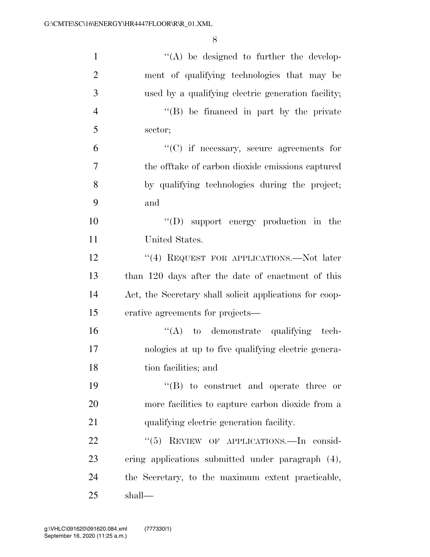| $\mathbf{1}$   | $\lq\lq$ be designed to further the develop-            |
|----------------|---------------------------------------------------------|
| $\overline{2}$ | ment of qualifying technologies that may be             |
| 3              | used by a qualifying electric generation facility;      |
| $\overline{4}$ | "(B) be financed in part by the private                 |
| 5              | sector;                                                 |
| 6              | $\lq\lq$ (C) if necessary, secure agreements for        |
| $\tau$         | the offtake of carbon dioxide emissions captured        |
| 8              | by qualifying technologies during the project;          |
| 9              | and                                                     |
| 10             | "(D) support energy production in the                   |
| 11             | United States.                                          |
| 12             | "(4) REQUEST FOR APPLICATIONS.—Not later                |
| 13             | than 120 days after the date of enactment of this       |
| 14             | Act, the Secretary shall solicit applications for coop- |
| 15             | erative agreements for projects—                        |
| 16             | $\lq\lq$ to demonstrate qualifying tech-                |
| 17             | nologies at up to five qualifying electric genera-      |
| 18             | tion facilities; and                                    |
| 19             | $\lq\lq (B)$ to construct and operate three or          |
| 20             | more facilities to capture carbon dioxide from a        |
| 21             | qualifying electric generation facility.                |
| 22             | "(5) REVIEW OF APPLICATIONS. In consid-                 |
| 23             | ering applications submitted under paragraph (4),       |
| 24             | the Secretary, to the maximum extent practicable,       |
| 25             | shall—                                                  |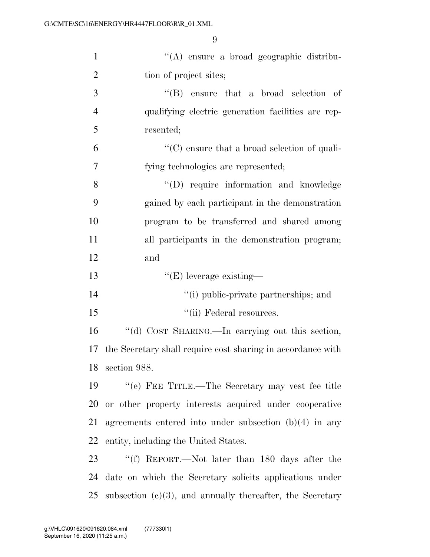| $\mathbf{1}$   | "(A) ensure a broad geographic distribu-                     |
|----------------|--------------------------------------------------------------|
| $\overline{2}$ | tion of project sites;                                       |
| 3              | $\lq\lq$ ensure that a broad selection of                    |
| $\overline{4}$ | qualifying electric generation facilities are rep-           |
| 5              | resented;                                                    |
| 6              | $\lq\lq$ (C) ensure that a broad selection of quali-         |
| 7              | fying technologies are represented;                          |
| 8              | "(D) require information and knowledge                       |
| 9              | gained by each participant in the demonstration              |
| 10             | program to be transferred and shared among                   |
| 11             | all participants in the demonstration program;               |
| 12             | and                                                          |
| 13             | $\lq\lq$ (E) leverage existing—                              |
| 14             | "(i) public-private partnerships; and                        |
| 15             | "(ii) Federal resources.                                     |
| 16             | "(d) COST SHARING.—In carrying out this section,             |
| 17             | the Secretary shall require cost sharing in accordance with  |
|                | 18 section 988.                                              |
| 19             | "(e) FEE TITLE.—The Secretary may vest fee title             |
| 20             | or other property interests acquired under cooperative       |
| 21             | agreements entered into under subsection $(b)(4)$ in any     |
| 22             | entity, including the United States.                         |
| 23             | "(f) REPORT.—Not later than 180 days after the               |
| 24             | date on which the Secretary solicits applications under      |
| 25             | subsection $(c)(3)$ , and annually thereafter, the Secretary |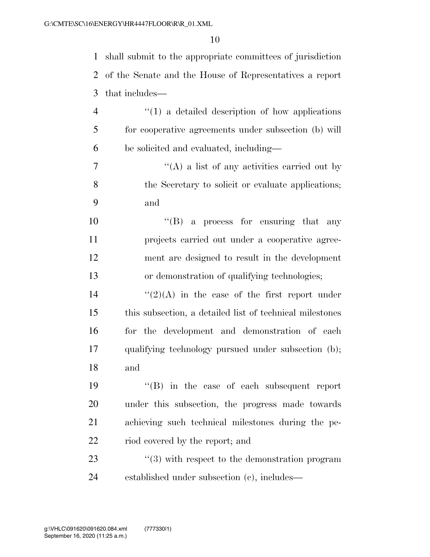shall submit to the appropriate committees of jurisdiction of the Senate and the House of Representatives a report that includes— ''(1) a detailed description of how applications for cooperative agreements under subsection (b) will be solicited and evaluated, including— ''(A) a list of any activities carried out by the Secretary to solicit or evaluate applications; and ''(B) a process for ensuring that any projects carried out under a cooperative agree- ment are designed to result in the development or demonstration of qualifying technologies;  $\frac{1}{2}(2)(A)$  in the case of the first report under this subsection, a detailed list of technical milestones for the development and demonstration of each

and

 ''(B) in the case of each subsequent report under this subsection, the progress made towards achieving such technical milestones during the pe-22 riod covered by the report; and

qualifying technology pursued under subsection (b);

23 ''(3) with respect to the demonstration program established under subsection (c), includes—